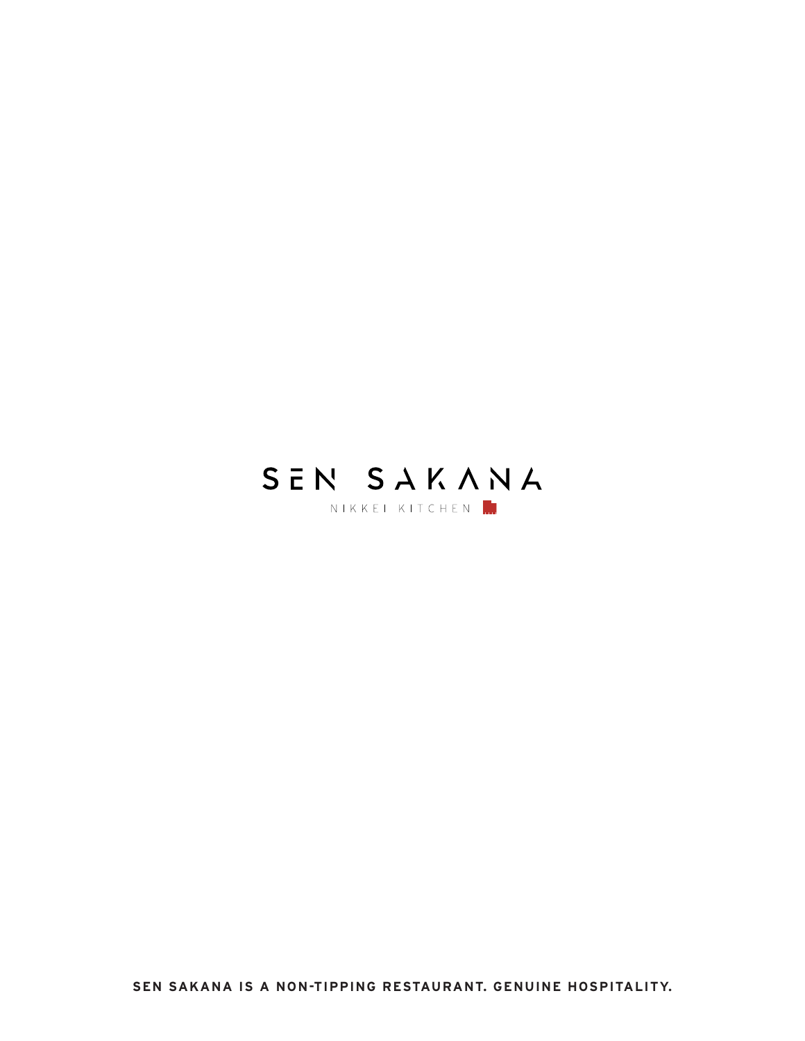

**SEN SAKANA IS A NON-TIPPING RESTAURANT. GENUINE HOSPITALITY.**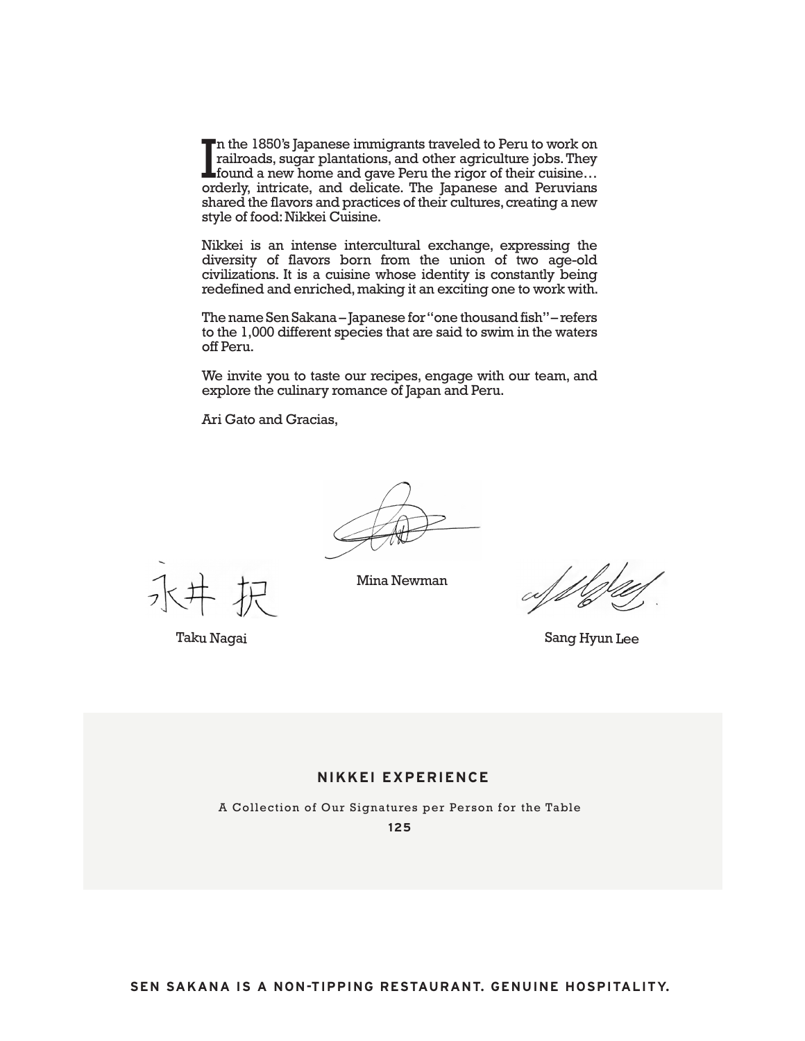In the 1850's Japanese immigrants traveled to Peru to work on railroads, sugar plantations, and other agriculture jobs. They found a new home and gave Peru the rigor of their cuisine... orderly, intricate, and delicate. Th n the 1850's Japanese immigrants traveled to Peru to work on railroads, sugar plantations, and other agriculture jobs. They found a new home and gave Peru the rigor of their cuisine… shared the flavors and practices of their cultures, creating a new style of food: Nikkei Cuisine.

Nikkei is an intense intercultural exchange, expressing the diversity of flavors born from the union of two age-old civilizations. It is a cuisine whose identity is constantly being redefined and enriched, making it an exciting one to work with.

The name Sen Sakana – Japanese for "one thousand fish" – refers to the 1,000 different species that are said to swim in the waters off Peru.

We invite you to taste our recipes, engage with our team, and explore the culinary romance of Japan and Peru.

Ari Gato and Gracias,

Mina Newman

Taku Nagai

Sang Hyun Lee

## **NIKKEI EXPERIENCE**

A Collection of Our Signatures per Person for the Table **125**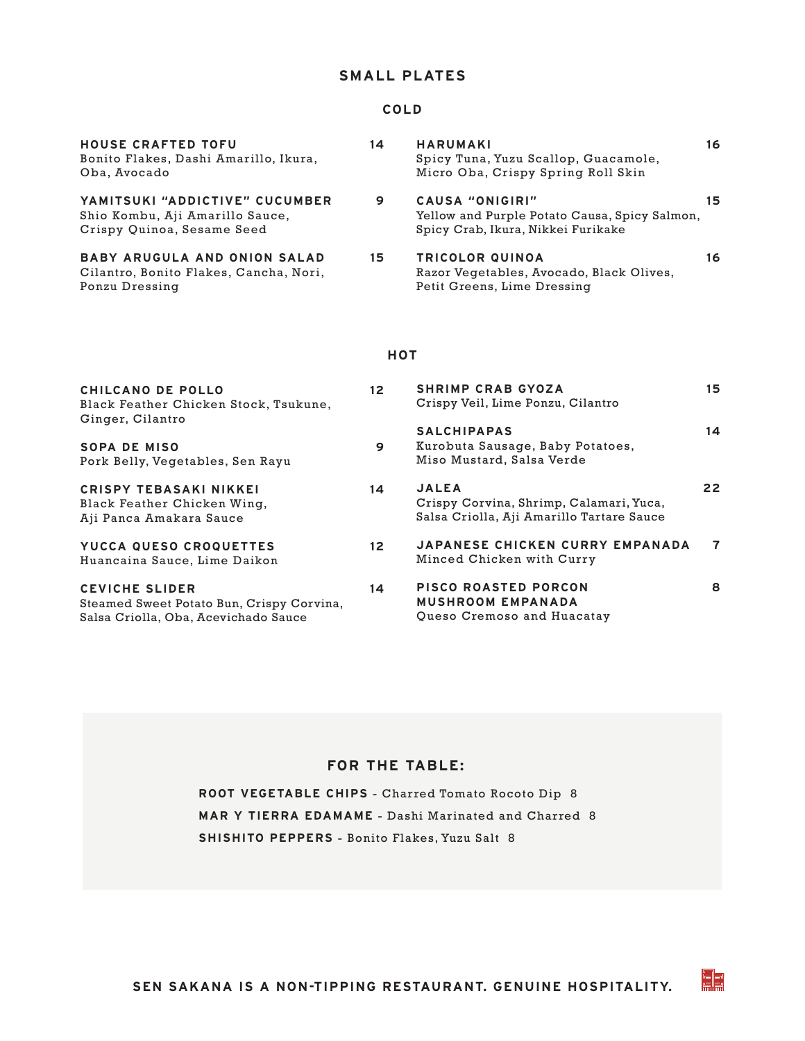# **SMALL PLATES**

## **COLD**

| <b>HOUSE CRAFTED TOFU</b><br>Bonito Flakes, Dashi Amarillo, Ikura,<br>Oba, Avocado              | 14              | <b>HARUMAKI</b><br>Spicy Tuna, Yuzu Scallop, Guacamole,<br>Micro Oba, Crispy Spring Roll Skin          | 16 |
|-------------------------------------------------------------------------------------------------|-----------------|--------------------------------------------------------------------------------------------------------|----|
| YAMITSUKI "ADDICTIVE" CUCUMBER<br>Shio Kombu, Aji Amarillo Sauce,<br>Crispy Quinoa, Sesame Seed | 9               | CAUSA "ONIGIRI"<br>Yellow and Purple Potato Causa, Spicy Salmon,<br>Spicy Crab, Ikura, Nikkei Furikake | 15 |
| <b>BABY ARUGULA AND ONION SALAD</b><br>Cilantro, Bonito Flakes, Cancha, Nori,<br>Ponzu Dressing | 15              | <b>TRICOLOR QUINOA</b><br>Razor Vegetables, Avocado, Black Olives,<br>Petit Greens, Lime Dressing      | 16 |
|                                                                                                 |                 | HOT                                                                                                    |    |
| CHILCANO DE POLLO<br>Black Feather Chicken Stock, Tsukune,                                      | 12 <sup>2</sup> | <b>SHRIMP CRAB GYOZA</b><br>Crispy Veil, Lime Ponzu, Cilantro                                          | 15 |

| Ginger, Cilantro                                                                        |    |                                                    |
|-----------------------------------------------------------------------------------------|----|----------------------------------------------------|
| <b>SOPA DE MISO</b><br>Pork Belly, Vegetables, Sen Rayu                                 | 9  | <b>SALCHIPAPA</b><br>Kurobuta Saus<br>Miso Mustard |
| <b>CRISPY TEBASAKI NIKKEI</b><br>Black Feather Chicken Wing,<br>Aji Panca Amakara Sauce | 14 | <b>JALEA</b><br>Crispy Corvin<br>Salsa Criolla,    |
| YUCCA QUESO CROQUETTES                                                                  | 12 | <b>JAPANESE C</b>                                  |

Huancaina Sauce, Lime Daikon

**CEVICHE SLIDER 14** Steamed Sweet Potato Bun, Crispy Corvina, Salsa Criolla, Oba, Acevichado Sauce

|    | Crispy Veil, Lime Ponzu, Cilantro                                                                    |    |
|----|------------------------------------------------------------------------------------------------------|----|
| 9  | <b>SALCHIPAPAS</b><br>Kurobuta Sausage, Baby Potatoes,<br>Miso Mustard, Salsa Verde                  | 14 |
| 14 | <b>JALEA</b><br>Crispy Corvina, Shrimp, Calamari, Yuca,<br>Salsa Criolla, Aji Amarillo Tartare Sauce | 22 |
| 12 | <b>JAPANESE CHICKEN CURRY EMPANADA</b><br>Minced Chicken with Curry                                  | 7  |
| 14 | PISCO ROASTED PORCON<br><b>MUSHROOM EMPANADA</b><br>Queso Cremoso and Huacatay                       | 8  |

EB

# **FOR THE TABLE:**

**ROOT VEGETABLE CHIPS** - Charred Tomato Rocoto Dip 8 **MAR Y TIERRA EDAMAME** - Dashi Marinated and Charred 8 **SHISHITO PEPPERS** - Bonito Flakes, Yuzu Salt 8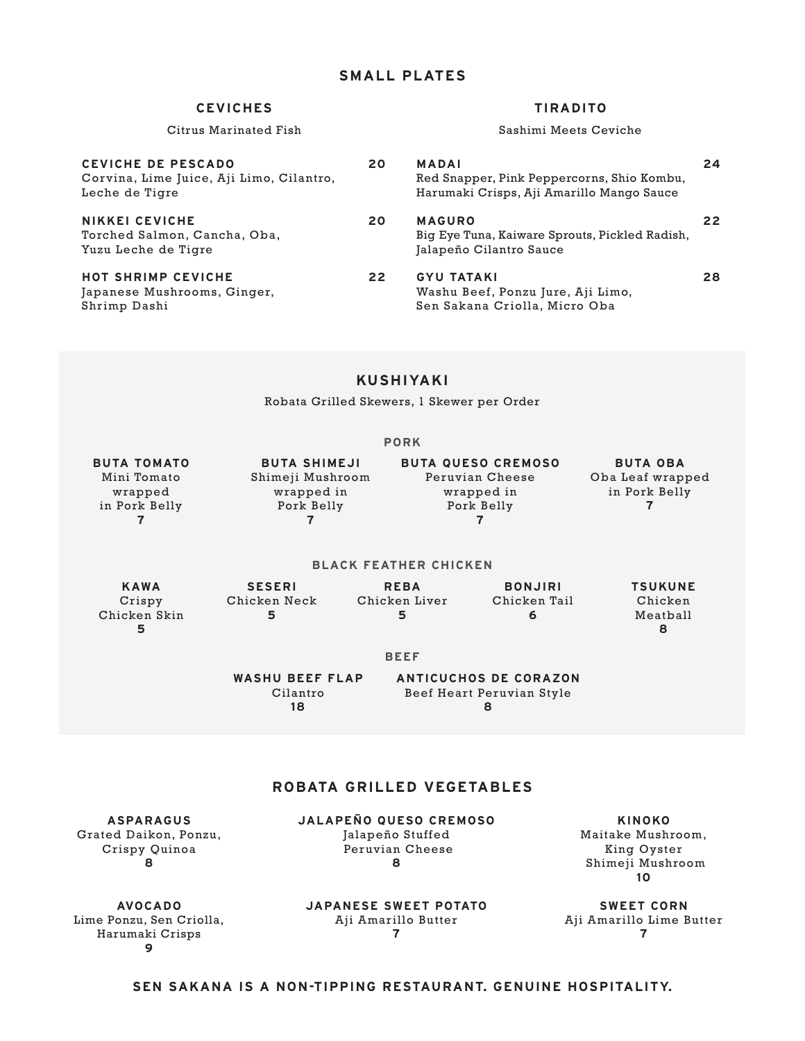### **CEVICHES TIRADITO**

Citrus Marinated Fish Sashimi Meets Ceviche

| CEVICHE DE PESCADO<br>Corvina, Lime Juice, Aji Limo, Cilantro,<br>Leche de Tigre | 20 | <b>MADAI</b><br>Red Snapper, Pink Peppercorns, Shio Kombu,<br>Harumaki Crisps, Aji Amarillo Mango Sauce | 24 |
|----------------------------------------------------------------------------------|----|---------------------------------------------------------------------------------------------------------|----|
| NIKKEI CEVICHE<br>Torched Salmon, Cancha, Oba,<br>Yuzu Leche de Tigre            | 20 | <b>MAGURO</b><br>Big Eye Tuna, Kaiware Sprouts, Pickled Radish,<br>Jalapeño Cilantro Sauce              | 22 |
| <b>HOT SHRIMP CEVICHE</b><br>Japanese Mushrooms, Ginger,<br>Shrimp Dashi         | 22 | <b>GYU TATAKI</b><br>Washu Beef, Ponzu Jure, Aji Limo,<br>Sen Sakana Criolla, Micro Oba                 | 28 |

# **KUSHIYAKI**

Robata Grilled Skewers, 1 Skewer per Order

|--|--|--|--|

| <b>BUTA TOMATO</b> | <b>BUTA SHIMEJI</b> | <b>BUTA QUESO CREMOSO</b> | <b>BUTA OBA</b>  |
|--------------------|---------------------|---------------------------|------------------|
| Mini Tomato        | Shimeji Mushroom    | Peruvian Cheese           | Oba Leaf wrapped |
| wrapped            | wrapped in          | wrapped in                | in Pork Belly    |
| in Pork Belly      | Pork Belly          | Pork Belly                |                  |
|                    |                     |                           |                  |
|                    |                     |                           |                  |

#### **BLACK FEATHER CHICKEN**

| <b>KAWA</b>  | <b>SESERI</b> | <b>REBA</b>   | <b>BONJIRI</b> | <b>TSUKUNE</b> |
|--------------|---------------|---------------|----------------|----------------|
| Crispy       | Chicken Neck  | Chicken Liver | Chicken Tail   | Chicken        |
| Chicken Skin |               |               |                | Meatball       |
|              |               |               |                |                |

#### **BEEF**

**WASHU BEEF FLAP** Cilantro **18**

**ANTICUCHOS DE CORAZON** Beef Heart Peruvian Style **8**

# **ROBATA GRILLED VEGETABLES**

**JALAPEÑO QUESO CREMOSO** Jalapeño Stuffed

**ASPARAGUS** Grated Daikon, Ponzu, Crispy Quinoa **8**

 Peruvian Cheese **8**

**KINOKO** Maitake Mushroom, King Oyster Shimeji Mushroom **10**

**AVOCADO** Lime Ponzu, Sen Criolla, Harumaki Crisps **9**

**JAPANESE SWEET POTATO** Aji Amarillo Butter **7**

**SWEET CORN** Aji Amarillo Lime Butter **7**

### **SEN SAKANA IS A NON-TIPPING RESTAURANT. GENUINE HOSPITALITY.**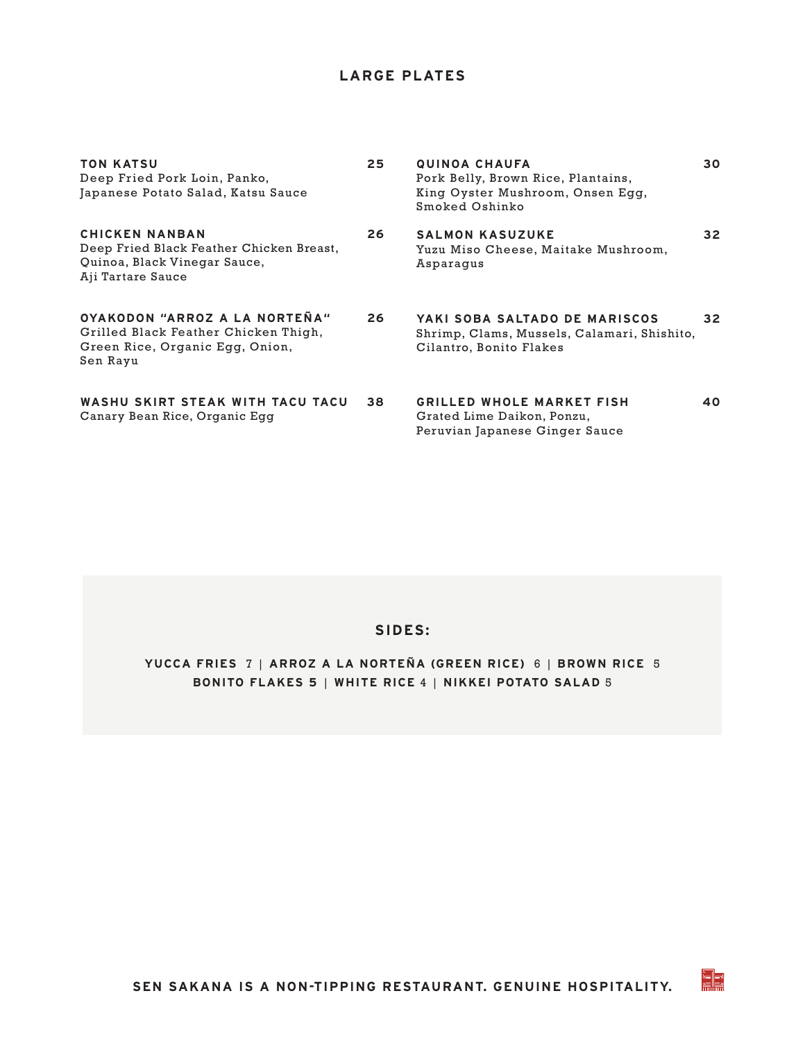# **LARGE PLATES**

| <b>TON KATSU</b><br>Deep Fried Pork Loin, Panko,<br>Japanese Potato Salad, Katsu Sauce                                 | 25 | QUINOA CHAUFA<br>Pork Belly, Brown Rice, Plantains,<br>King Oyster Mushroom, Onsen Egg,<br>Smoked Oshinko | 30 |
|------------------------------------------------------------------------------------------------------------------------|----|-----------------------------------------------------------------------------------------------------------|----|
| <b>CHICKEN NANBAN</b><br>Deep Fried Black Feather Chicken Breast,<br>Quinoa, Black Vinegar Sauce,<br>Aji Tartare Sauce | 26 | <b>SALMON KASUZUKE</b><br>Yuzu Miso Cheese, Maitake Mushroom,<br>Asparaqus                                | 32 |
| OYAKODON "ARROZ A LA NORTEÑA"<br>Grilled Black Feather Chicken Thigh,<br>Green Rice, Organic Egg, Onion,<br>Sen Rayu   | 26 | YAKI SOBA SALTADO DE MARISCOS<br>Shrimp, Clams, Mussels, Calamari, Shishito,<br>Cilantro, Bonito Flakes   | 32 |
| WASHU SKIRT STEAK WITH TACU TACU<br>Canary Bean Rice, Organic Egg                                                      | 38 | <b>GRILLED WHOLE MARKET FISH</b><br>Grated Lime Daikon, Ponzu,<br>Peruvian Japanese Ginger Sauce          | 40 |

# **SIDES:**

# **YUCCA FRIES** 7 | **ARROZ A LA NORTEÑA (GREEN RICE)** 6 | **BROWN RICE** 5 **BONITO FLAKES 5** | **WHITE RICE** 4 | **NIKKEI POTATO SALAD** 5

eb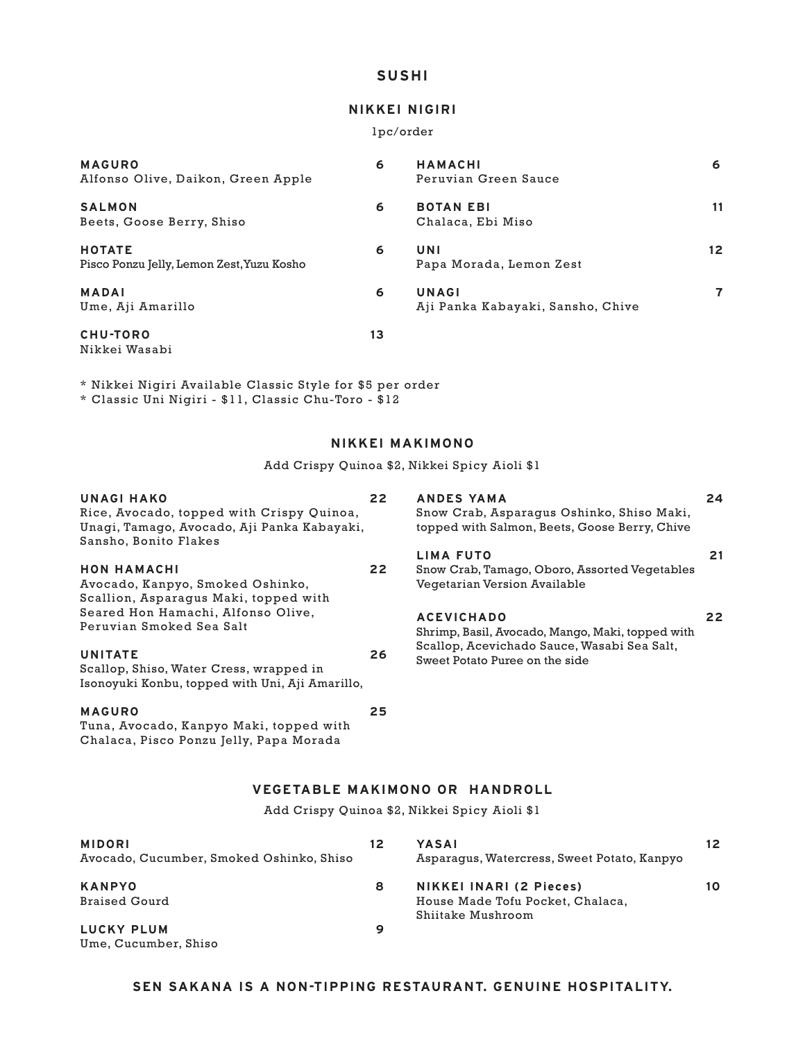# **SUSHI**

## **NIKKEI NIGIRI**

#### 1pc/order

| <b>MAGURO</b><br>Alfonso Olive, Daikon, Green Apple        | 6  | <b>HAMACHI</b><br>Peruvian Green Sauce     | 6               |
|------------------------------------------------------------|----|--------------------------------------------|-----------------|
| <b>SALMON</b><br>Beets, Goose Berry, Shiso                 | 6  | <b>BOTAN EBI</b><br>Chalaca, Ebi Miso      | 11              |
| <b>HOTATE</b><br>Pisco Ponzu Jelly, Lemon Zest, Yuzu Kosho | 6  | UNI<br>Papa Morada, Lemon Zest             | 12 <sup>2</sup> |
| <b>MADAI</b><br>Ume, Aji Amarillo                          | 6  | UNAGI<br>Aji Panka Kabayaki, Sansho, Chive | $\overline{7}$  |
| <b>CHU-TORO</b><br>Nikkei Wasabi                           | 13 |                                            |                 |

\* Nikkei Nigiri Available Classic Style for \$5 per order \* Classic Uni Nigiri - \$11, Classic Chu-Toro - \$12

#### **NIKKEI MAKIMONO**

Add Crispy Quinoa \$2, Nikkei Spicy Aioli \$1

| UNAGI HAKO<br>Rice, Avocado, topped with Crispy Quinoa,<br>Unagi, Tamago, Avocado, Aji Panka Kabayaki,<br>Sansho, Bonito Flakes | 22 | ANDES YAMA<br>Snow Crab, Asparaqus Oshinko, Shiso Maki,<br>topped with Salmon, Beets, Goose Berry, Chive | 24 |
|---------------------------------------------------------------------------------------------------------------------------------|----|----------------------------------------------------------------------------------------------------------|----|
|                                                                                                                                 |    | <b>LIMA FUTO</b>                                                                                         | 21 |
| <b>HON HAMACHI</b>                                                                                                              | 22 | Snow Crab, Tamago, Oboro, Assorted Vegetables                                                            |    |
| Avocado, Kanpyo, Smoked Oshinko,                                                                                                |    | Vegetarian Version Available                                                                             |    |
| Scallion, Asparaqus Maki, topped with                                                                                           |    |                                                                                                          |    |
| Seared Hon Hamachi, Alfonso Olive,                                                                                              |    | <b>ACEVICHADO</b>                                                                                        | 22 |
| Peruvian Smoked Sea Salt                                                                                                        |    | Shrimp, Basil, Avocado, Mango, Maki, topped with                                                         |    |
|                                                                                                                                 |    | Scallop, Acevichado Sauce, Wasabi Sea Salt,                                                              |    |
| <b>UNITATE</b>                                                                                                                  | 26 | Sweet Potato Puree on the side                                                                           |    |
| Scallop, Shiso, Water Cress, wrapped in                                                                                         |    |                                                                                                          |    |
| Isonoyuki Konbu, topped with Uni, Aji Amarillo,                                                                                 |    |                                                                                                          |    |
| <b>MAGURO</b>                                                                                                                   | 25 |                                                                                                          |    |
| Tuna, Avocado, Kanpyo Maki, topped with                                                                                         |    |                                                                                                          |    |
| Chalaca, Pisco Ponzu Jelly, Papa Morada                                                                                         |    |                                                                                                          |    |

# **VEGETABLE MAKIMONO OR HANDROLL**

Add Crispy Quinoa \$2, Nikkei Spicy Aioli \$1

| <b>MIDORI</b><br>Avocado, Cucumber, Smoked Oshinko, Shiso | 12 | YASAI<br>Asparagus, Watercress, Sweet Potato, Kanpyo                             | 12 |
|-----------------------------------------------------------|----|----------------------------------------------------------------------------------|----|
| <b>KANPYO</b><br><b>Braised Gourd</b>                     | 8  | NIKKEI INARI (2 Pieces)<br>House Made Tofu Pocket, Chalaca,<br>Shiitake Mushroom | 10 |
| LUCKY PLUM<br>Ume, Cucumber, Shiso                        | 9  |                                                                                  |    |

## **SEN SAKANA IS A NON-TIPPING RESTAURANT. GENUINE HOSPITALITY.**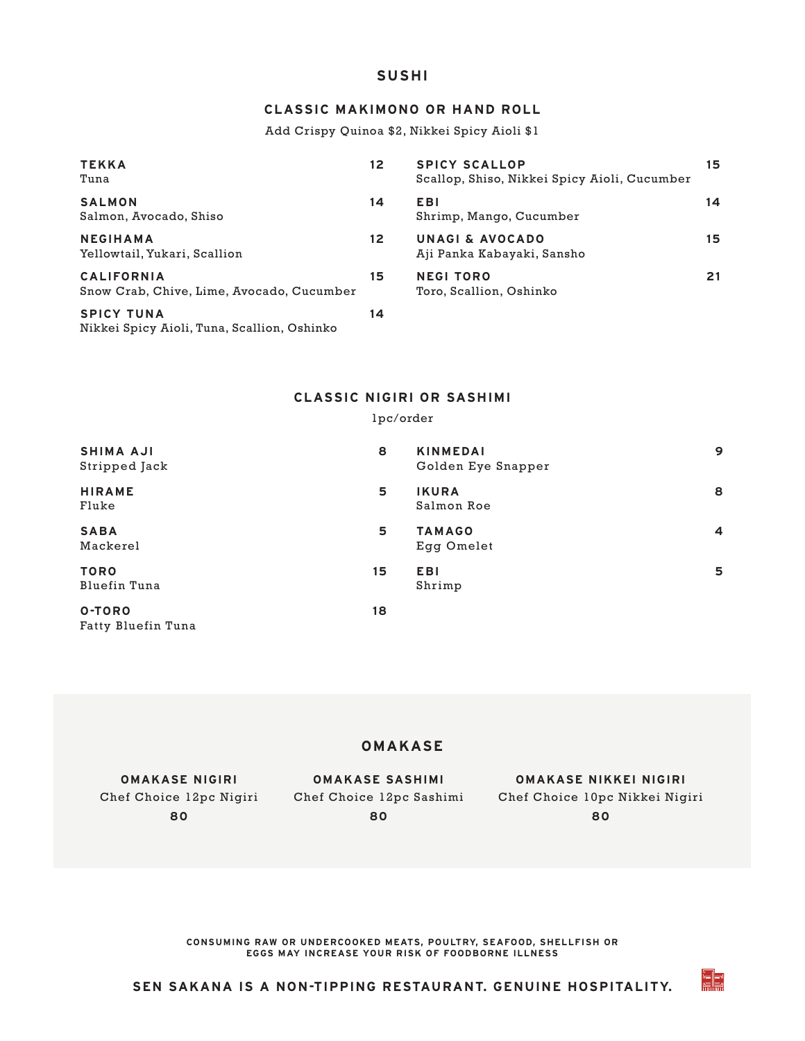## **SUSHI**

# **CLASSIC MAKIMONO OR HAND ROLL**

Add Crispy Quinoa \$2, Nikkei Spicy Aioli \$1

| <b>TEKKA</b><br>Tuna                                             | 12 | <b>SPICY SCALLOP</b><br>Scallop, Shiso, Nikkei Spicy Aioli, Cucumber | 15 |
|------------------------------------------------------------------|----|----------------------------------------------------------------------|----|
| <b>SALMON</b><br>Salmon, Avocado, Shiso                          | 14 | <b>EBI</b><br>Shrimp, Mango, Cucumber                                | 14 |
| <b>NEGIHAMA</b><br>Yellowtail, Yukari, Scallion                  | 12 | UNAGI & AVOCADO<br>Aji Panka Kabayaki, Sansho                        | 15 |
| <b>CALIFORNIA</b><br>Snow Crab, Chive, Lime, Avocado, Cucumber   | 15 | <b>NEGI TORO</b><br>Toro, Scallion, Oshinko                          | 21 |
| <b>SPICY TUNA</b><br>Nikkei Spicy Aioli, Tuna, Scallion, Oshinko | 14 |                                                                      |    |

## **CLASSIC NIGIRI OR SASHIMI**

#### 1pc/order

| <b>SHIMA AJI</b><br>Stripped Jack | 8  | <b>KINMEDAI</b><br>Golden Eye Snapper | 9              |
|-----------------------------------|----|---------------------------------------|----------------|
| <b>HIRAME</b><br>Fluke            | 5  | <b>IKURA</b><br>Salmon Roe            | 8              |
| <b>SABA</b><br>Mackerel           | 5  | <b>TAMAGO</b><br>Egg Omelet           | $\overline{4}$ |
| <b>TORO</b><br>Bluefin Tuna       | 15 | <b>EBI</b><br>Shrimp                  | 5              |
| O-TORO<br>Fatty Bluefin Tuna      | 18 |                                       |                |

# **OMAKASE**

**OMAKASE NIGIRI 80**

**OMAKASE SASHIMI 80**

Chef Choice 12pc Nigiri Chef Choice 12pc Sashimi Chef Choice 10pc Nikkei Nigiri **OMAKASE NIKKEI NIGIRI 80**

EB

**CONSUMING RAW OR UNDERCOOKED MEATS, POULTRY, SEAFOOD, SHELLFISH OR EGGS MAY INCREASE YOUR RISK OF FOODBORNE ILLNESS**